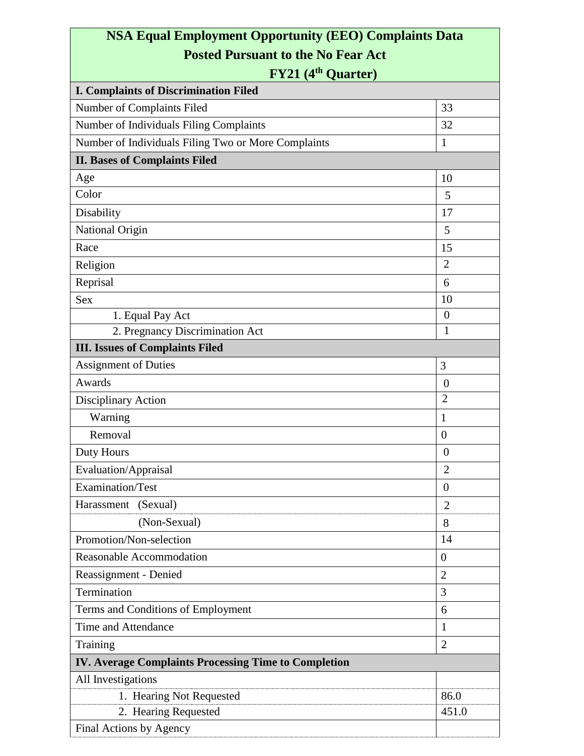## **NSA Equal Employment Opportunity (EEO) Complaints Data Posted Pursuant to the No Fear Act**

## **FY21 (4th Quarter)**

| <b>I. Complaints of Discrimination Filed</b>                |                  |
|-------------------------------------------------------------|------------------|
| Number of Complaints Filed                                  | 33               |
| Number of Individuals Filing Complaints                     | 32               |
| Number of Individuals Filing Two or More Complaints         | 1                |
| <b>II. Bases of Complaints Filed</b>                        |                  |
| Age                                                         | 10               |
| Color                                                       | 5                |
| Disability                                                  | 17               |
| National Origin                                             | 5                |
| Race                                                        | 15               |
| Religion                                                    | $\overline{2}$   |
| Reprisal                                                    | 6                |
| <b>Sex</b>                                                  | 10               |
| 1. Equal Pay Act                                            | $\overline{0}$   |
| 2. Pregnancy Discrimination Act                             | 1                |
| <b>III.</b> Issues of Complaints Filed                      |                  |
| <b>Assignment of Duties</b>                                 | 3                |
| Awards                                                      | $\theta$         |
| Disciplinary Action                                         | $\overline{2}$   |
| Warning                                                     | 1                |
| Removal                                                     | $\overline{0}$   |
| Duty Hours                                                  | $\overline{0}$   |
| Evaluation/Appraisal                                        | $\overline{2}$   |
| Examination/Test                                            | $\boldsymbol{0}$ |
| Harassment (Sexual)                                         | $\mathbf{2}$     |
| (Non-Sexual)                                                | 8                |
| Promotion/Non-selection                                     | 14               |
| Reasonable Accommodation                                    | $\overline{0}$   |
| Reassignment - Denied                                       | $\overline{2}$   |
| Termination                                                 | 3                |
| Terms and Conditions of Employment                          | 6                |
| Time and Attendance                                         | $\mathbf{1}$     |
| Training                                                    | $\overline{2}$   |
| <b>IV. Average Complaints Processing Time to Completion</b> |                  |
| All Investigations                                          |                  |
| 1. Hearing Not Requested                                    | 86.0             |
| 2. Hearing Requested                                        | 451.0            |
| Final Actions by Agency                                     |                  |